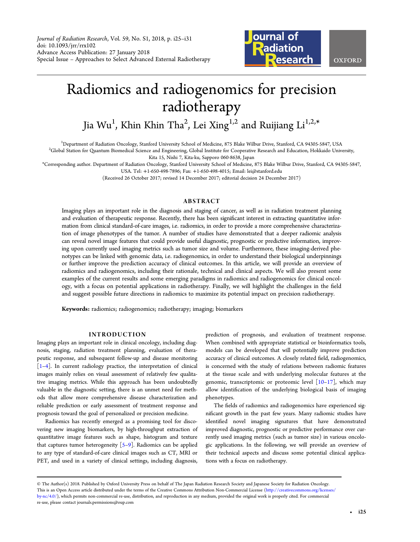Journal of Radiation Research, Vol. 59, No. S1, 2018, p. i25–i31 doi: 10.1093/jrr/rrx102 Advance Access Publication: 27 January 2018 Special Issue – Approaches to Select Advanced External Radiotherapy



# Radiomics and radiogenomics for precision radiotherapy

Jia Wu $^{\rm l}$ , Khin Khin Tha $^{\rm 2}$ , Lei Xing $^{\rm l,2}$  and Ruijiang Li $^{\rm l,2,*}$ 

<sup>1</sup>Department of Radiation Oncology, Stanford University School of Medicine, 875 Blake Wilbur Drive, Stanford, CA 94305-5847, USA<br><sup>2</sup>Clobal Station for Quantum Biomedical Science and Engineering, Clobal Institute for Coope

<sup>2</sup>Global Station for Quantum Biomedical Science and Engineering, Global Institute for Cooperative Research and Education, Hokkaido University, Kita 15, Nishi 7, Kita-ku, Sapporo 060-8638, Japan

\*Corresponding author. Department of Radiation Oncology, Stanford University School of Medicine, 875 Blake Wilbur Drive, Stanford, CA 94305-5847,

USA. Tel: +1-650-498-7896; Fax: +1-650-498-4015; Email: lei@stanford.edu

(Received 26 October 2017; revised 14 December 2017; editorial decision 24 December 2017)

# ABSTRACT

Imaging plays an important role in the diagnosis and staging of cancer, as well as in radiation treatment planning and evaluation of therapeutic response. Recently, there has been significant interest in extracting quantitative information from clinical standard-of-care images, i.e. radiomics, in order to provide a more comprehensive characterization of image phenotypes of the tumor. A number of studies have demonstrated that a deeper radiomic analysis can reveal novel image features that could provide useful diagnostic, prognostic or predictive information, improving upon currently used imaging metrics such as tumor size and volume. Furthermore, these imaging-derived phenotypes can be linked with genomic data, i.e. radiogenomics, in order to understand their biological underpinnings or further improve the prediction accuracy of clinical outcomes. In this article, we will provide an overview of radiomics and radiogenomics, including their rationale, technical and clinical aspects. We will also present some examples of the current results and some emerging paradigms in radiomics and radiogenomics for clinical oncology, with a focus on potential applications in radiotherapy. Finally, we will highlight the challenges in the field and suggest possible future directions in radiomics to maximize its potential impact on precision radiotherapy.

Keywords: radiomics; radiogenomics; radiotherapy; imaging; biomarkers

#### INTRODUCTION

Imaging plays an important role in clinical oncology, including diagnosis, staging, radiation treatment planning, evaluation of therapeutic response, and subsequent follow-up and disease monitoring [\[1](#page-4-0)–[4](#page-4-0)]. In current radiology practice, the interpretation of clinical images mainly relies on visual assessment of relatively few qualitative imaging metrics. While this approach has been undoubtedly valuable in the diagnostic setting, there is an unmet need for methods that allow more comprehensive disease characterization and reliable prediction or early assessment of treatment response and prognosis toward the goal of personalized or precision medicine.

Radiomics has recently emerged as a promising tool for discovering new imaging biomarkers, by high-throughput extraction of quantitative image features such as shape, histogram and texture that captures tumor heterogeneity [\[5](#page-4-0)–[9](#page-5-0)]. Radiomics can be applied to any type of standard-of-care clinical images such as CT, MRI or PET, and used in a variety of clinical settings, including diagnosis,

prediction of prognosis, and evaluation of treatment response. When combined with appropriate statistical or bioinformatics tools, models can be developed that will potentially improve prediction accuracy of clinical outcomes. A closely related field, radiogenomics, is concerned with the study of relations between radiomic features at the tissue scale and with underlying molecular features at the genomic, transcriptomic or proteomic level  $[10-17]$  $[10-17]$  $[10-17]$  $[10-17]$ , which may allow identification of the underlying biological basis of imaging phenotypes.

The fields of radiomics and radiogenomics have experienced significant growth in the past few years. Many radiomic studies have identified novel imaging signatures that have demonstrated improved diagnostic, prognostic or predictive performance over currently used imaging metrics (such as tumor size) in various oncologic applications. In the following, we will provide an overview of their technical aspects and discuss some potential clinical applications with a focus on radiotherapy.

<sup>©</sup> The Author(s) 2018. Published by Oxford University Press on behalf of The Japan Radiation Research Society and Japanese Society for Radiation Oncology. This is an Open Access article distributed under the terms of the Creative Commons Attribution Non-Commercial License ([http://creativecommons.org/licenses/](http://creativecommons.org/licenses/by-nc/4.0/) [by-nc/4.0/\)](http://creativecommons.org/licenses/by-nc/4.0/), which permits non-commercial re-use, distribution, and reproduction in any medium, provided the original work is properly cited. For commercial re-use, please contact journals.permissions@oup.com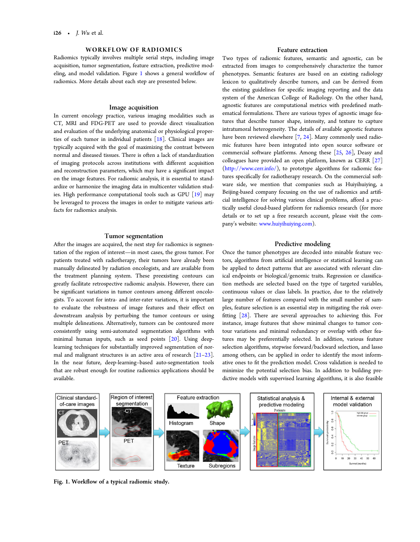# WORKFLOW OF RADIOMICS

Radiomics typically involves multiple serial steps, including image acquisition, tumor segmentation, feature extraction, predictive modeling, and model validation. Figure 1 shows a general workflow of radiomics. More details about each step are presented below.

# Image acquisition

In current oncology practice, various imaging modalities such as CT, MRI and FDG-PET are used to provide direct visualization and evaluation of the underlying anatomical or physiological properties of each tumor in individual patients [\[18\]](#page-5-0). Clinical images are typically acquired with the goal of maximizing the contrast between normal and diseased tissues. There is often a lack of standardization of imaging protocols across institutions with different acquisition and reconstruction parameters, which may have a significant impact on the image features. For radiomic analysis, it is essential to standardize or harmonize the imaging data in multicenter validation studies. High performance computational tools such as GPU  $[19]$  $[19]$  $[19]$  may be leveraged to process the images in order to mitigate various artifacts for radiomics analysis.

### Tumor segmentation

After the images are acquired, the next step for radiomics is segmentation of the region of interest—in most cases, the gross tumor. For patients treated with radiotherapy, their tumors have already been manually delineated by radiation oncologists, and are available from the treatment planning system. These preexisting contours can greatly facilitate retrospective radiomic analysis. However, there can be significant variations in tumor contours among different oncologists. To account for intra- and inter-rater variations, it is important to evaluate the robustness of image features and their effect on downstream analysis by perturbing the tumor contours or using multiple delineations. Alternatively, tumors can be contoured more consistently using semi-automated segmentation algorithms with minimal human inputs, such as seed points [[20](#page-5-0)]. Using deeplearning techniques for substantially improved segmentation of normal and malignant structures is an active area of research [[21](#page-5-0)–[23](#page-5-0)]. In the near future, deep-learning–based auto-segmentation tools that are robust enough for routine radiomics applications should be available.

# Feature extraction

Two types of radiomic features, semantic and agnostic, can be extracted from images to comprehensively characterize the tumor phenotypes. Semantic features are based on an existing radiology lexicon to qualitatively describe tumors, and can be derived from the existing guidelines for specific imaging reporting and the data system of the American College of Radiology. On the other hand, agnostic features are computational metrics with predefined mathematical formulations. There are various types of agnostic image features that describe tumor shape, intensity, and texture to capture intratumoral heterogeneity. The details of available agnostic features have been reviewed elsewhere  $[7, 24]$  $[7, 24]$  $[7, 24]$  $[7, 24]$ . Many commonly used radiomic features have been integrated into open source software or commercial software platforms. Among these [\[25,](#page-5-0) [26\]](#page-5-0), Deasy and colleagues have provided an open platform, known as CERR [\[27\]](#page-5-0) (<http://www.cerr.info/>), to prototype algorithms for radiomic features specifically for radiotherapy research. On the commercial software side, we mention that companies such as Huiyihuiying, a Beijing-based company focusing on the use of radiomics and artificial intelligence for solving various clinical problems, afford a practically useful cloud-based platform for radiomics research (for more details or to set up a free research account, please visit the company's website: [www.huiyihuiying.com](http://www.huiyihuiying.com)).

### Predictive modeling

Once the tumor phenotypes are decoded into minable feature vectors, algorithms from artificial intelligence or statistical learning can be applied to detect patterns that are associated with relevant clinical endpoints or biological/genomic traits. Regression or classification methods are selected based on the type of targeted variables, continuous values or class labels. In practice, due to the relatively large number of features compared with the small number of samples, feature selection is an essential step in mitigating the risk overfitting  $[28]$ . There are several approaches to achieving this. For instance, image features that show minimal changes to tumor contour variations and minimal redundancy or overlap with other features may be preferentially selected. In addition, various feature selection algorithms, stepwise forward/backward selection, and lasso among others, can be applied in order to identify the most informative ones to fit the prediction model. Cross validation is needed to minimize the potential selection bias. In addition to building predictive models with supervised learning algorithms, it is also feasible



Fig. 1. Workflow of a typical radiomic study.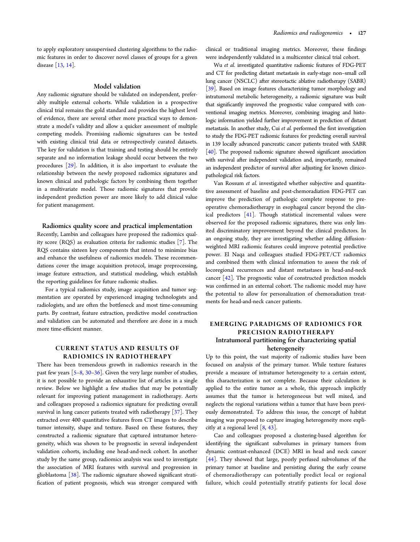to apply exploratory unsupervised clustering algorithms to the radiomic features in order to discover novel classes of groups for a given disease [[13](#page-5-0), [14\]](#page-5-0).

#### Model validation

Any radiomic signature should be validated on independent, preferably multiple external cohorts. While validation in a prospective clinical trial remains the gold standard and provides the highest level of evidence, there are several other more practical ways to demonstrate a model's validity and allow a quicker assessment of multiple competing models. Promising radiomic signatures can be tested with existing clinical trial data or retrospectively curated datasets. The key for validation is that training and testing should be entirely separate and no information leakage should occur between the two procedures [[29](#page-5-0)]. In addition, it is also important to evaluate the relationship between the newly proposed radiomics signatures and known clinical and pathologic factors by combining them together in a multivariate model. Those radiomic signatures that provide independent prediction power are more likely to add clinical value for patient management.

# Radiomics quality score and practical implementation

Recently, Lambin and colleagues have proposed the radiomics quality score (RQS) as evaluation criteria for radiomic studies [[7\]](#page-5-0). The RQS contains sixteen key components that intend to minimize bias and enhance the usefulness of radiomics models. These recommendations cover the image acquisition protocol, image preprocessing, image feature extraction, and statistical modeling, which establish the reporting guidelines for future radiomic studies.

For a typical radiomics study, image acquisition and tumor segmentation are operated by experienced imaging technologists and radiologists, and are often the bottleneck and most time-consuming parts. By contrast, feature extraction, predictive model construction and validation can be automated and therefore are done in a much more time-efficient manner.

# CURRENT STATUS AND RESULTS OF RADIOMICS IN RADIOTHERAPY

There has been tremendous growth in radiomics research in the past few years [\[5](#page-4-0)–[8](#page-5-0), [30](#page-5-0)–[36\]](#page-5-0). Given the very large number of studies, it is not possible to provide an exhaustive list of articles in a single review. Below we highlight a few studies that may be potentially relevant for improving patient management in radiotherapy. Aerts and colleagues proposed a radiomics signature for predicting overall survival in lung cancer patients treated with radiotherapy  $\lceil 37 \rceil$ . They extracted over 400 quantitative features from CT images to describe tumor intensity, shape and texture. Based on these features, they constructed a radiomic signature that captured intratumor heterogeneity, which was shown to be prognostic in several independent validation cohorts, including one head-and-neck cohort. In another study by the same group, radiomics analysis was used to investigate the association of MRI features with survival and progression in glioblastoma  $\lceil 38 \rceil$ . The radiomic signature showed significant stratification of patient prognosis, which was stronger compared with

clinical or traditional imaging metrics. Moreover, these findings were independently validated in a multicenter clinical trial cohort.

Wu et al. investigated quantitative radiomic features of FDG-PET and CT for predicting distant metastasis in early-stage non–small cell lung cancer (NSCLC) after stereotactic ablative radiotherapy (SABR) [\[39\]](#page-5-0). Based on image features characterizing tumor morphology and intratumoral metabolic heterogeneity, a radiomic signature was built that significantly improved the prognostic value compared with conventional imaging metrics. Moreover, combining imaging and histologic information yielded further improvement in prediction of distant metastasis. In another study, Cui et al. performed the first investigation to study the FDG-PET radiomic features for predicting overall survival in 139 locally advanced pancreatic cancer patients treated with SABR  $[40]$  $[40]$ . The proposed radiomic signature showed significant association with survival after independent validation and, importantly, remained an independent predictor of survival after adjusting for known clinicopathological risk factors.

Van Rossum et al. investigated whether subjective and quantitative assessment of baseline and post-chemoradiation FDG-PET can improve the prediction of pathologic complete response to preoperative chemoradiotherapy in esophageal cancer beyond the clinical predictors [\[41\]](#page-6-0). Though statistical incremental values were observed for the proposed radiomic signatures, there was only limited discriminatory improvement beyond the clinical predictors. In an ongoing study, they are investigating whether adding diffusionweighted MRI radiomic features could improve potential predictive power. El Naqa and colleagues studied FDG-PET/CT radiomics and combined them with clinical information to assess the risk of locoregional recurrences and distant metastases in head-and-neck cancer [[42](#page-6-0)]. The prognostic value of constructed prediction models was confirmed in an external cohort. The radiomic model may have the potential to allow for personalization of chemoradiation treatments for head-and-neck cancer patients.

# EMERGING PARADIGMS OF RADIOMICS FOR PRECISION RADIOTHERAPY Intratumoral partitioning for characterizing spatial

heterogeneity

Up to this point, the vast majority of radiomic studies have been focused on analysis of the primary tumor. While texture features provide a measure of intratumor heterogeneity to a certain extent, this characterization is not complete. Because their calculation is applied to the entire tumor as a whole, this approach implicitly assumes that the tumor is heterogeneous but well mixed, and neglects the regional variations within a tumor that have been previously demonstrated. To address this issue, the concept of habitat imaging was proposed to capture imaging heterogeneity more explicitly at a regional level  $\lceil 8, 43 \rceil$  $\lceil 8, 43 \rceil$  $\lceil 8, 43 \rceil$ .

Cao and colleagues proposed a clustering-based algorithm for identifying the significant subvolumes in primary tumors from dynamic contrast-enhanced (DCE) MRI in head and neck cancer [\[44\]](#page-6-0). They showed that large, poorly perfused subvolumes of the primary tumor at baseline and persisting during the early course of chemoradiotherapy can potentially predict local or regional failure, which could potentially stratify patients for local dose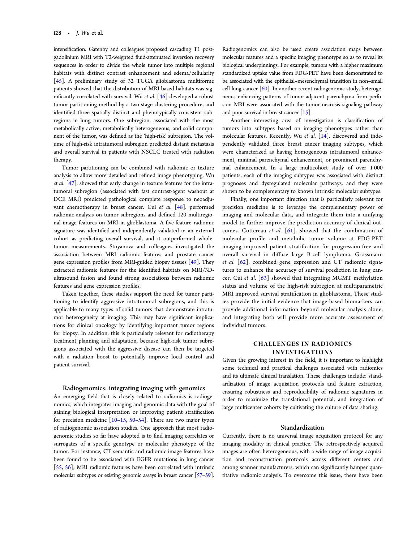intensification. Gatenby and colleagues proposed cascading T1 postgadolinium MRI with T2-weighted fluid-attenuated inversion recovery sequences in order to divide the whole tumor into multiple regional habitats with distinct contrast enhancement and edema/cellularity [[45](#page-6-0)]. A preliminary study of 32 TCGA glioblastoma multiforme patients showed that the distribution of MRI-based habitats was significantly correlated with survival. Wu et al. [[46](#page-6-0)] developed a robust tumor-partitioning method by a two-stage clustering procedure, and identified three spatially distinct and phenotypically consistent subregions in lung tumors. One subregion, associated with the most metabolically active, metabolically heterogeneous, and solid component of the tumor, was defined as the 'high-risk' subregion. The volume of high-risk intratumoral subregion predicted distant metastasis and overall survival in patients with NSCLC treated with radiation therapy.

Tumor partitioning can be combined with radiomic or texture analysis to allow more detailed and refined image phenotyping. Wu et al. [[47](#page-6-0)]. showed that early change in texture features for the intratumoral subregion (associated with fast contrast-agent washout at DCE MRI) predicted pathological complete response to neoadjuvant chemotherapy in breast cancer. Cui et al. [\[48\]](#page-6-0). performed radiomic analysis on tumor subregions and defined 120 multiregional image features on MRI in glioblastoma. A five-feature radiomic signature was identified and independently validated in an external cohort as predicting overall survival, and it outperformed wholetumor measurements. Stoyanova and colleagues investigated the association between MRI radiomic features and prostate cancer gene expression profiles from MRI-guided biopsy tissues [\[49\]](#page-6-0). They extracted radiomic features for the identified habitats on MRI/3Dultrasound fusion and found strong associations between radiomic features and gene expression profiles.

Taken together, these studies support the need for tumor partitioning to identify aggressive intratumoral subregions, and this is applicable to many types of solid tumors that demonstrate intratumor heterogeneity at imaging. This may have significant implications for clinical oncology by identifying important tumor regions for biopsy. In addition, this is particularly relevant for radiotherapy treatment planning and adaptation, because high-risk tumor subregions associated with the aggressive disease can then be targeted with a radiation boost to potentially improve local control and patient survival.

#### Radiogenomics: integrating imaging with genomics

An emerging field that is closely related to radiomics is radiogenomics, which integrates imaging and genomic data with the goal of gaining biological interpretation or improving patient stratification for precision medicine  $[10-15, 50-54]$  $[10-15, 50-54]$  $[10-15, 50-54]$  $[10-15, 50-54]$  $[10-15, 50-54]$  $[10-15, 50-54]$  $[10-15, 50-54]$  $[10-15, 50-54]$ . There are two major types of radiogenomic association studies. One approach that most radiogenomic studies so far have adopted is to find imaging correlates or surrogates of a specific genotype or molecular phenotype of the tumor. For instance, CT semantic and radiomic image features have been found to be associated with EGFR mutations in lung cancer [[55](#page-6-0), [56](#page-6-0)]; MRI radiomic features have been correlated with intrinsic molecular subtypes or existing genomic assays in breast cancer [\[57](#page-6-0)–[59](#page-6-0)].

Radiogenomics can also be used create association maps between molecular features and a specific imaging phenotype so as to reveal its biological underpinnings. For example, tumors with a higher maximum standardized uptake value from FDG-PET have been demonstrated to be associated with the epithelial–mesenchymal transition in non–small cell lung cancer  $[60]$  $[60]$ . In another recent radiogenomic study, heterogeneous enhancing patterns of tumor-adjacent parenchyma from perfusion MRI were associated with the tumor necrosis signaling pathway and poor survival in breast cancer [\[15\]](#page-5-0).

Another interesting area of investigation is classification of tumors into subtypes based on imaging phenotypes rather than molecular features. Recently, Wu et al. [[14](#page-5-0)]. discovered and independently validated three breast cancer imaging subtypes, which were characterized as having homogeneous intratumoral enhancement, minimal parenchymal enhancement, or prominent parenchymal enhancement. In a large multicohort study of over 1 000 patients, each of the imaging subtypes was associated with distinct prognoses and dysregulated molecular pathways, and they were shown to be complementary to known intrinsic molecular subtypes.

Finally, one important direction that is particularly relevant for precision medicine is to leverage the complementary power of imaging and molecular data, and integrate them into a unifying model to further improve the prediction accuracy of clinical outcomes. Cottereau et al.  $[61]$  $[61]$ . showed that the combination of molecular profile and metabolic tumor volume at FDG-PET imaging improved patient stratification for progression-free and overall survival in diffuse large B-cell lymphoma. Grossmann et al.  $\lceil 62 \rceil$ . combined gene expression and CT radiomic signatures to enhance the accuracy of survival prediction in lung cancer. Cui et al.  $\lceil 63 \rceil$  showed that integrating MGMT methylation status and volume of the high-risk subregion at multiparametric MRI improved survival stratification in glioblastoma. These studies provide the initial evidence that image-based biomarkers can provide additional information beyond molecular analysis alone, and integrating both will provide more accurate assessment of individual tumors.

# CHALLENGES IN RADIOMICS INVESTIGATIONS

Given the growing interest in the field, it is important to highlight some technical and practical challenges associated with radiomics and its ultimate clinical translation. These challenges include: standardization of image acquisition protocols and feature extraction, ensuring robustness and reproducibility of radiomic signatures in order to maximize the translational potential, and integration of large multicenter cohorts by cultivating the culture of data sharing.

#### Standardization

Currently, there is no universal image acquisition protocol for any imaging modality in clinical practice. The retrospectively acquired images are often heterogeneous, with a wide range of image acquisition and reconstruction protocols across different centers and among scanner manufacturers, which can significantly hamper quantitative radiomic analysis. To overcome this issue, there have been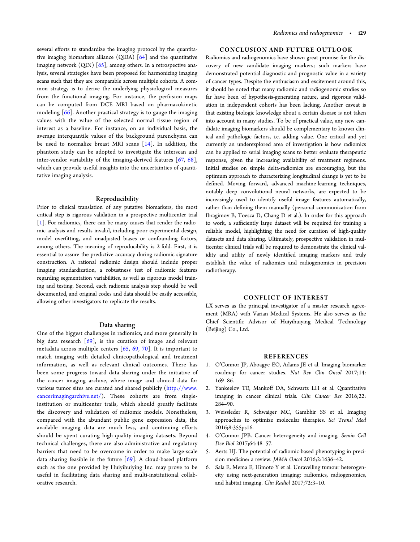<span id="page-4-0"></span>several efforts to standardize the imaging protocol by the quantitative imaging biomarkers alliance (QIBA) [\[64](#page-6-0)] and the quantitative imaging network  $\text{(QIN)}$   $\text{[65]}$  $\text{[65]}$  $\text{[65]}$ , among others. In a retrospective analysis, several strategies have been proposed for harmonizing imaging scans such that they are comparable across multiple cohorts. A common strategy is to derive the underlying physiological measures from the functional imaging. For instance, the perfusion maps can be computed from DCE MRI based on pharmacokinetic modeling [\[66](#page-6-0)]. Another practical strategy is to gauge the imaging values with the value of the selected normal tissue region of interest as a baseline. For instance, on an individual basis, the average interquantile values of the background parenchyma can be used to normalize breast MRI scans [[14](#page-5-0)]. In addition, the phantom study can be adopted to investigate the interscan and inter-vendor variability of the imaging-derived features [[67](#page-6-0), [68\]](#page-6-0), which can provide useful insights into the uncertainties of quantitative imaging analysis.

#### Reproducibility

Prior to clinical translation of any putative biomarkers, the most critical step is rigorous validation in a prospective multicenter trial [1]. For radiomics, there can be many causes that render the radiomic analysis and results invalid, including poor experimental design, model overfitting, and unadjusted biases or confounding factors, among others. The meaning of reproducibility is 2-fold. First, it is essential to assure the predictive accuracy during radiomic signature construction. A rational radiomic design should include proper imaging standardization, a robustness test of radiomic features regarding segmentation variabilities, as well as rigorous model training and testing. Second, each radiomic analysis step should be well documented, and original codes and data should be easily accessible, allowing other investigators to replicate the results.

# Data sharing

One of the biggest challenges in radiomics, and more generally in big data research  $[69]$  $[69]$ , is the curation of image and relevant metadata across multiple centers  $[65, 69, 70]$  $[65, 69, 70]$  $[65, 69, 70]$  $[65, 69, 70]$  $[65, 69, 70]$  $[65, 69, 70]$ . It is important to match imaging with detailed clinicopathological and treatment information, as well as relevant clinical outcomes. There has been some progress toward data sharing under the initiative of the cancer imaging archive, where image and clinical data for various tumor sites are curated and shared publicly ([http://www.](http://www.cancerimagingarchive.net/) [cancerimagingarchive.net/\)](http://www.cancerimagingarchive.net/). These cohorts are from singleinstitution or multicenter trails, which should greatly facilitate the discovery and validation of radiomic models. Nonetheless, compared with the abundant public gene expression data, the available imaging data are much less, and continuing efforts should be spent curating high-quality imaging datasets. Beyond technical challenges, there are also administrative and regulatory barriers that need to be overcome in order to make large-scale data sharing feasible in the future [[69\]](#page-6-0). A cloud-based platform such as the one provided by Huiyihuiying Inc. may prove to be useful in facilitating data sharing and multi-institutional collaborative research.

# CONCLUSION AND FUTURE OUTLOOK

Radiomics and radiogenomics have shown great promise for the discovery of new candidate imaging markers; such markers have demonstrated potential diagnostic and prognostic value in a variety of cancer types. Despite the enthusiasm and excitement around this, it should be noted that many radiomic and radiogenomic studies so far have been of hypothesis-generating nature, and rigorous validation in independent cohorts has been lacking. Another caveat is that existing biologic knowledge about a certain disease is not taken into account in many studies. To be of practical value, any new candidate imaging biomarkers should be complementary to known clinical and pathologic factors, i.e. adding value. One critical and yet currently an underexplored area of investigation is how radiomics can be applied to serial imaging scans to better evaluate therapeutic response, given the increasing availability of treatment regimens. Initial studies on simple delta-radiomics are encouraging, but the optimum approach to characterizing longitudinal change is yet to be defined. Moving forward, advanced machine-learning techniques, notably deep convolutional neural networks, are expected to be increasingly used to identify useful image features automatically, rather than defining them manually (personal communication from Ibragimov B, Toesca D, Chang D et al.). In order for this approach to work, a sufficiently large dataset will be required for training a reliable model, highlighting the need for curation of high-quality datasets and data sharing. Ultimately, prospective validation in multicenter clinical trials will be required to demonstrate the clinical validity and utility of newly identified imaging markers and truly establish the value of radiomics and radiogenomics in precision radiotherapy.

### CONFLICT OF INTEREST

LX serves as the principal investigator of a master research agreement (MRA) with Varian Medical Systems. He also serves as the Chief Scientific Advisor of Huiyihuiying Medical Technology (Beijing) Co., Ltd.

# **REFERENCES**

- 1. O'Connor JP, Aboagye EO, Adams JE et al. Imaging biomarker roadmap for cancer studies. Nat Rev Clin Oncol 2017;14: 169–86.
- 2. Yankeelov TE, Mankoff DA, Schwartz LH et al. Quantitative imaging in cancer clinical trials. Clin Cancer Res 2016;22: 284–90.
- 3. Weissleder R, Schwaiger MC, Gambhir SS et al. Imaging approaches to optimize molecular therapies. Sci Transl Med 2016;8:355ps16.
- 4. O'Connor JPB. Cancer heterogeneity and imaging. Semin Cell Dev Biol 2017;64:48–57.
- 5. Aerts HJ. The potential of radiomic-based phenotyping in precision medicine: a review. JAMA Oncol 2016;2:1636–42.
- 6. Sala E, Mema E, Himoto Y et al. Unravelling tumour heterogeneity using next-generation imaging: radiomics, radiogenomics, and habitat imaging. Clin Radiol 2017;72:3–10.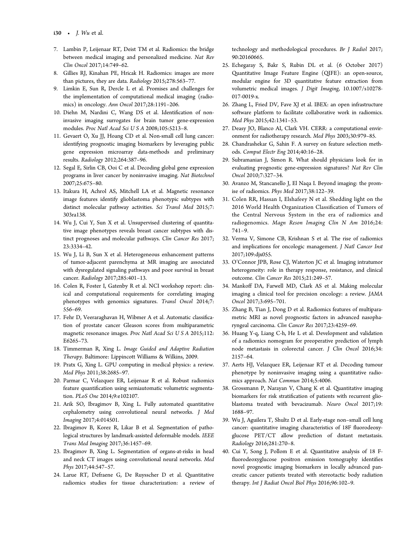- <span id="page-5-0"></span>7. Lambin P, Leijenaar RT, Deist TM et al. Radiomics: the bridge between medical imaging and personalized medicine. Nat Rev Clin Oncol 2017;14:749–62.
- 8. Gillies RJ, Kinahan PE, Hricak H. Radiomics: images are more than pictures, they are data. Radiology 2015;278:563–77.
- 9. Limkin E, Sun R, Dercle L et al. Promises and challenges for the implementation of computational medical imaging (radiomics) in oncology. Ann Oncol 2017;28:1191–206.
- 10. Diehn M, Nardini C, Wang DS et al. Identification of noninvasive imaging surrogates for brain tumor gene-expression modules. Proc Natl Acad Sci U S A 2008;105:5213–8.
- 11. Gevaert O, Xu JJ, Hoang CD et al. Non-small cell lung cancer: identifying prognostic imaging biomarkers by leveraging public gene expression microarray data-methods and preliminary results. Radiology 2012;264:387–96.
- 12. Segal E, Sirlin CB, Ooi C et al. Decoding global gene expression programs in liver cancer by noninvasive imaging. Nat Biotechnol 2007;25:675–80.
- 13. Itakura H, Achrol AS, Mitchell LA et al. Magnetic resonance image features identify glioblastoma phenotypic subtypes with distinct molecular pathway activities. Sci Transl Med 2015;7: 303ra138.
- 14. Wu J, Cui Y, Sun X et al. Unsupervised clustering of quantitative image phenotypes reveals breast cancer subtypes with distinct prognoses and molecular pathways. Clin Cancer Res 2017; 23:3334–42.
- 15. Wu J, Li B, Sun X et al. Heterogeneous enhancement patterns of tumor-adjacent parenchyma at MR imaging are associated with dysregulated signaling pathways and poor survival in breast cancer. Radiology 2017;285:401–13.
- 16. Colen R, Foster I, Gatenby R et al. NCI workshop report: clinical and computational requirements for correlating imaging phenotypes with genomics signatures. Transl Oncol 2014;7: 556–69.
- 17. Fehr D, Veeraraghavan H, Wibmer A et al. Automatic classification of prostate cancer Gleason scores from multiparametric magnetic resonance images. Proc Natl Acad Sci U S A 2015;112: E6265–73.
- 18. Timmerman R, Xing L. Image Guided and Adaptive Radiation Therapy. Baltimore: Lippincott Williams & Wilkins, 2009.
- 19. Pratx G, Xing L. GPU computing in medical physics: a review. Med Phys 2011;38:2685–97.
- 20. Parmar C, Velazquez ER, Leijenaar R et al. Robust radiomics feature quantification using semiautomatic volumetric segmentation. PLoS One 2014;9:e102107.
- 21. Arik SO, Ibragimov B, Xing L. Fully automated quantitative cephalometry using convolutional neural networks. J Med Imaging 2017;4:014501.
- 22. Ibragimov B, Korez R, Likar B et al. Segmentation of pathological structures by landmark-assisted deformable models. IEEE Trans Med Imaging 2017;36:1457–69.
- 23. Ibragimov B, Xing L. Segmentation of organs-at-risks in head and neck CT images using convolutional neural networks. Med Phys 2017;44:547–57.
- 24. Larue RT, Defraene G, De Ruysscher D et al. Quantitative radiomics studies for tissue characterization: a review of

technology and methodological procedures. Br J Radiol 2017; 90:20160665.

- 25. Echegaray S, Bakr S, Rubin DL et al. (6 October 2017) Quantitative Image Feature Engine (QIFE): an open-source, modular engine for 3D quantitative feature extraction from volumetric medical images. J Digit Imaging, [10.1007/s10278-](http://dx.doi.org/10.1007/s10278-017-0019-x) [017-0019-x](http://dx.doi.org/10.1007/s10278-017-0019-x).
- 26. Zhang L, Fried DV, Fave XJ et al. IBEX: an open infrastructure software platform to facilitate collaborative work in radiomics. Med Phys 2015;42:1341–53.
- 27. Deasy JO, Blanco AI, Clark VH. CERR: a computational environment for radiotherapy research. Med Phys 2003;30:979–85.
- 28. Chandrashekar G, Sahin F. A survey on feature selection methods. Comput Electr Eng 2014;40:16–28.
- 29. Subramanian J, Simon R. What should physicians look for in evaluating prognostic gene-expression signatures? Nat Rev Clin Oncol 2010;7:327–34.
- 30. Avanzo M, Stancanello J, El Naqa I. Beyond imaging: the promise of radiomics. Phys Med 2017;38:122–39.
- 31. Colen RR, Hassan I, Elshafeey N et al. Shedding light on the 2016 World Health Organization Classification of Tumors of the Central Nervous System in the era of radiomics and radiogenomics. Magn Reson Imaging Clin N Am 2016;24: 741–9.
- 32. Verma V, Simone CB, Krishnan S et al. The rise of radiomics and implications for oncologic management. J Natl Cancer Inst 2017;109:djx055.
- 33. O'Connor JPB, Rose CJ, Waterton JC et al. Imaging intratumor heterogeneity: role in therapy response, resistance, and clinical outcome. Clin Cancer Res 2015;21:249–57.
- 34. Mankoff DA, Farwell MD, Clark AS et al. Making molecular imaging a clinical tool for precision oncology: a review. JAMA Oncol 2017;3:695–701.
- 35. Zhang B, Tian J, Dong D et al. Radiomics features of multiparametric MRI as novel prognostic factors in advanced nasopharyngeal carcinoma. Clin Cancer Res 2017;23:4259–69.
- 36. Huang Y-q, Liang C-h, He L et al. Development and validation of a radiomics nomogram for preoperative prediction of lymph node metastasis in colorectal cancer. J Clin Oncol 2016;34: 2157–64.
- 37. Aerts HJ, Velazquez ER, Leijenaar RT et al. Decoding tumour phenotype by noninvasive imaging using a quantitative radiomics approach. Nat Commun 2014;5:4006.
- 38. Grossmann P, Narayan V, Chang K et al. Quantitative imaging biomarkers for risk stratification of patients with recurrent glioblastoma treated with bevacizumab. Neuro Oncol 2017;19: 1688–97.
- 39. Wu J, Aguilera T, Shultz D et al. Early-stage non–small cell lung cancer: quantitative imaging characteristics of 18F fluorodeoxyglucose PET/CT allow prediction of distant metastasis. Radiology 2016;281:270–8.
- 40. Cui Y, Song J, Pollom E et al. Quantitative analysis of 18 Ffluorodeoxyglucose positron emission tomography identifies novel prognostic imaging biomarkers in locally advanced pancreatic cancer patients treated with stereotactic body radiation therapy. Int J Radiat Oncol Biol Phys 2016;96:102–9.